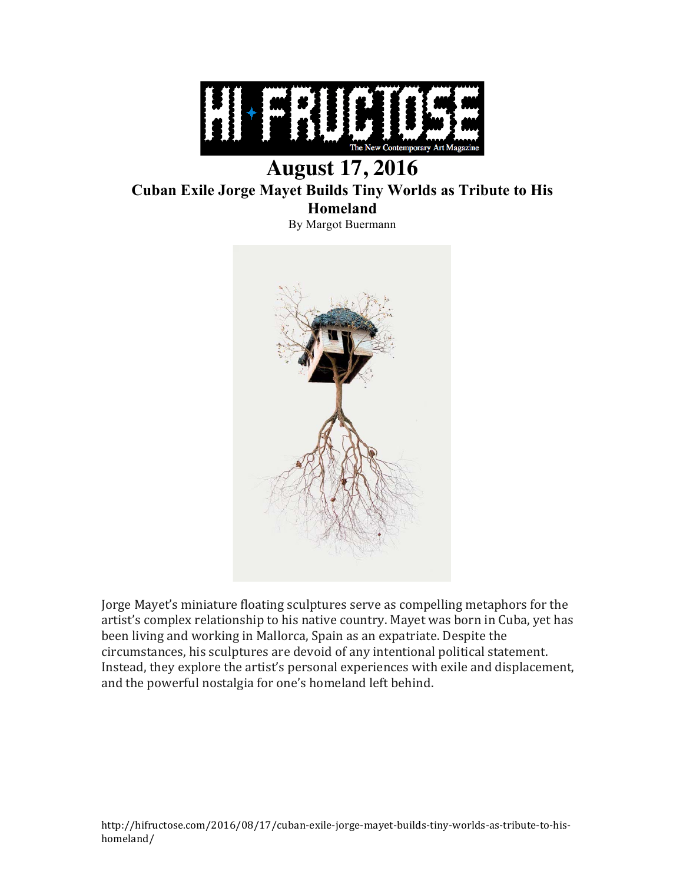

## **August 17, 2016 Cuban Exile Jorge Mayet Builds Tiny Worlds as Tribute to His Homeland** By Margot Buermann



Jorge Mayet's miniature floating sculptures serve as compelling metaphors for the artist's complex relationship to his native country. Mayet was born in Cuba, yet has been living and working in Mallorca, Spain as an expatriate. Despite the circumstances, his sculptures are devoid of any intentional political statement. Instead, they explore the artist's personal experiences with exile and displacement, and the powerful nostalgia for one's homeland left behind.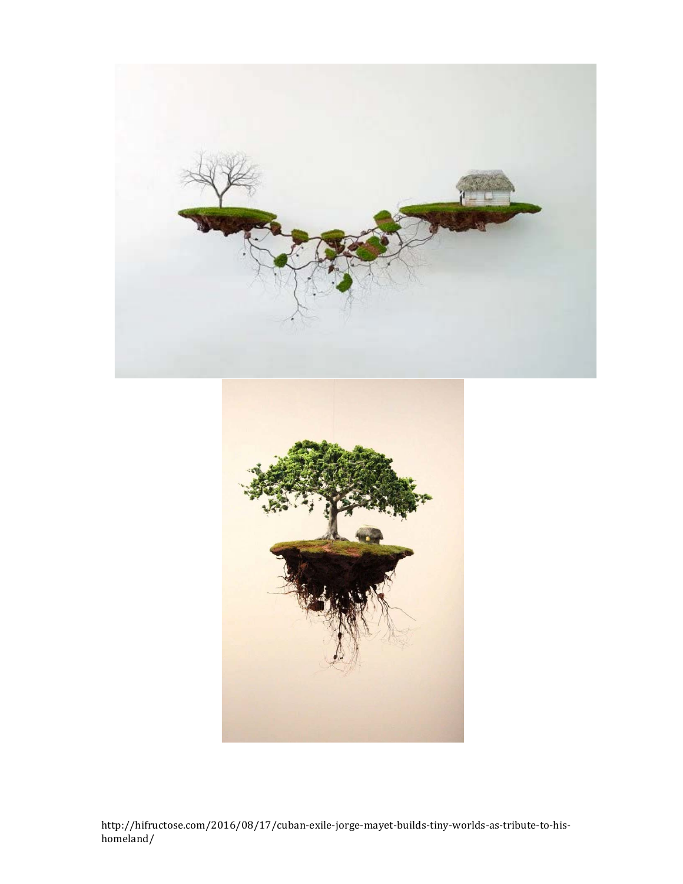

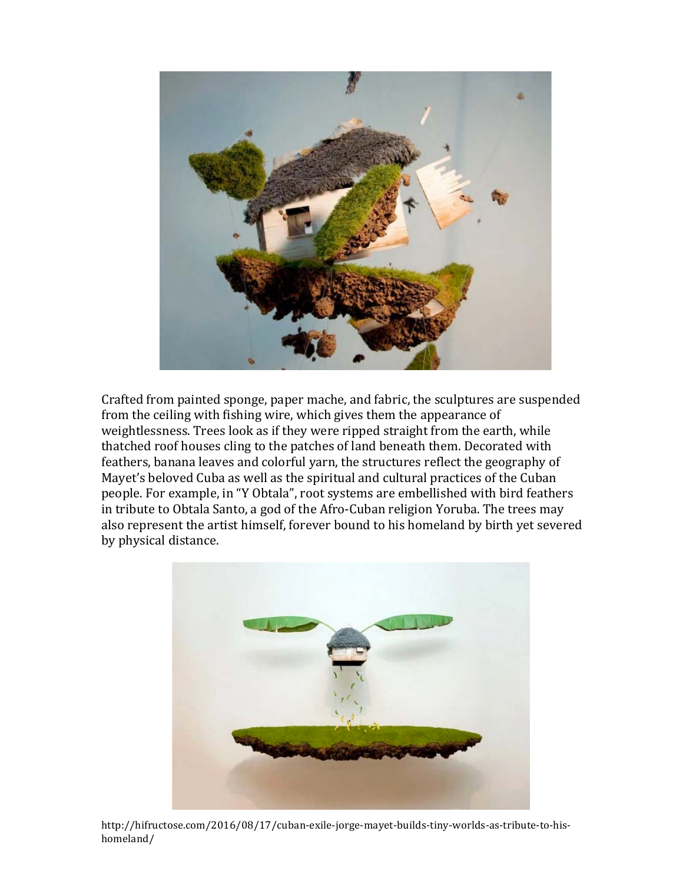

Crafted from painted sponge, paper mache, and fabric, the sculptures are suspended from the ceiling with fishing wire, which gives them the appearance of weightlessness. Trees look as if they were ripped straight from the earth, while thatched roof houses cling to the patches of land beneath them. Decorated with feathers, banana leaves and colorful yarn, the structures reflect the geography of Mayet's beloved Cuba as well as the spiritual and cultural practices of the Cuban people. For example, in "Y Obtala", root systems are embellished with bird feathers in tribute to Obtala Santo, a god of the Afro-Cuban religion Yoruba. The trees may also represent the artist himself, forever bound to his homeland by birth yet severed by physical distance.



http://hifructose.com/2016/08/17/cuban-exile-jorge-mayet-builds-tiny-worlds-as-tribute-to-hishomeland/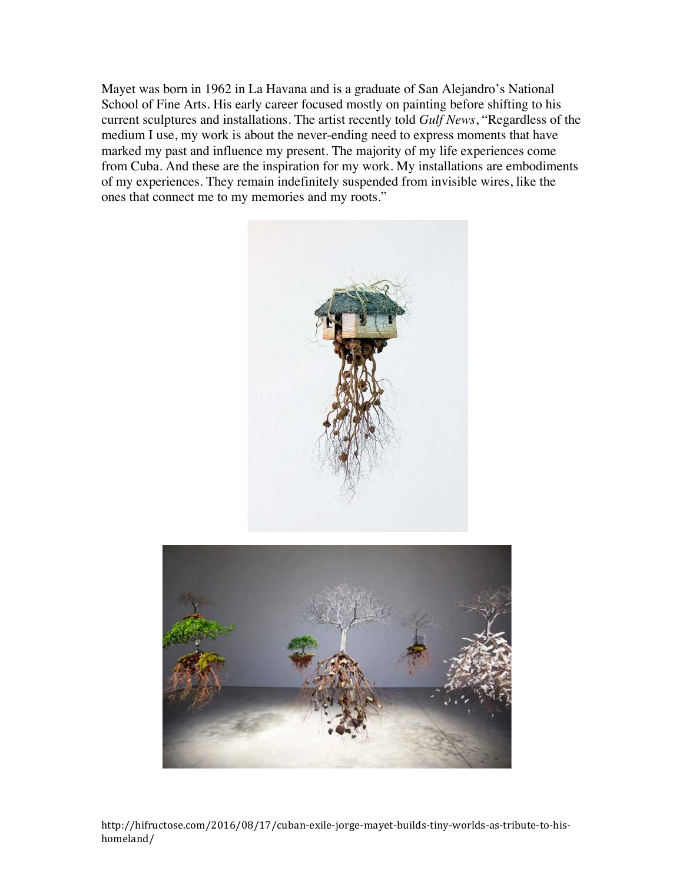Mayet was born in 1962 in La Havana and is a graduate of San Alejandro's National School of Fine Arts. His early career focused mostly on painting before shifting to his current sculptures and installations. The artist recently told *Gulf News*, "Regardless of the medium I use, my work is about the never-ending need to express moments that have marked my past and influence my present. The majority of my life experiences come from Cuba. And these are the inspiration for my work. My installations are embodiments of my experiences. They remain indefinitely suspended from invisible wires, like the ones that connect me to my memories and my roots."





http://hifructose.com/2016/08/17/cuban-exile-jorge-mayet-builds-tiny-worlds-as-tribute-to-hishomeland/